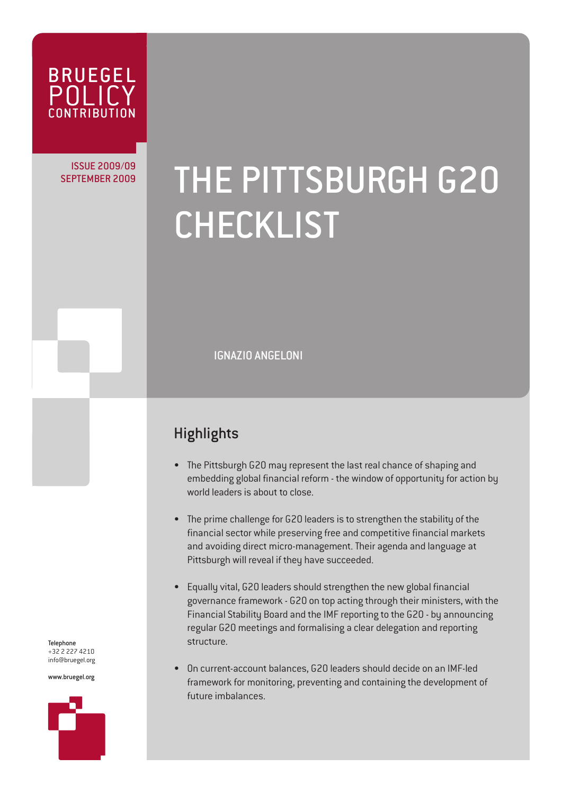

## ISSUE 2009/09

# SEPTEMBER 2009 THE PITTSBURGH G20 CHECKLIST

IGNAZIO ANGELONI

### **Highlights**

- The Pittsburgh G20 may represent the last real chance of shaping and embedding global financial reform - the window of opportunity for action by world leaders is about to close.
- The prime challenge for G20 leaders is to strengthen the stability of the financial sector while preserving free and competitive financial markets and avoiding direct micro-management. Their agenda and language at Pittsburgh will reveal if they have succeeded.
- Equally vital, G20 leaders should strengthen the new global financial governance framework - G20 on top acting through their ministers, with the Financial Stability Board and the IMF reporting to the G20 - by announcing regular G20 meetings and formalising a clear delegation and reporting structure.
- On current-account balances, G20 leaders should decide on an IMF-led framework for monitoring, preventing and containing the development of future imbalances.

Telephone +32 2 227 4210 info@bruegel.org

www.bruegel.org

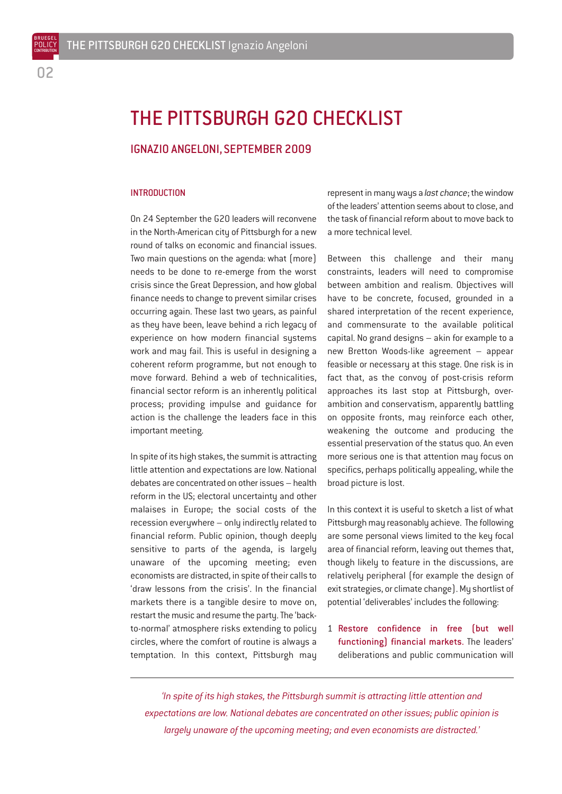BRUEGEL POLICY **CONTRIBUTION** 

## THE PITTSBURGH G20 CHECKLIST

#### IGNAZIO ANGELONI, SEPTEMBER 2009

#### **INTRODUCTION**

On 24 September the G20 leaders will reconvene in the North-American city of Pittsburgh for a new round of talks on economic and financial issues. Two main questions on the agenda: what (more) needs to be done to re-emerge from the worst crisis since the Great Depression, and how global finance needs to change to prevent similar crises occurring again. These last two years, as painful as they have been, leave behind a rich legacy of experience on how modern financial systems work and may fail. This is useful in designing a coherent reform programme, but not enough to move forward. Behind a web of technicalities, financial sector reform is an inherently political process; providing impulse and guidance for action is the challenge the leaders face in this important meeting.

In spite of its high stakes, the summit is attracting little attention and expectations are low. National debates are concentrated on other issues – health reform in the US; electoral uncertainty and other malaises in Europe; the social costs of the recession everywhere – only indirectly related to financial reform. Public opinion, though deeply sensitive to parts of the agenda, is largely unaware of the upcoming meeting; even economists are distracted, in spite of their calls to 'draw lessons from the crisis'. In the financial markets there is a tangible desire to move on, restart the music and resume the party. The 'backto-normal' atmosphere risks extending to policy circles, where the comfort of routine is always a temptation. In this context, Pittsburgh may

represent in many ways a *last chance*; the window of the leaders' attention seems about to close, and the task of financial reform about to move back to a more technical level.

Between this challenge and their many constraints, leaders will need to compromise between ambition and realism. Objectives will have to be concrete, focused, grounded in a shared interpretation of the recent experience, and commensurate to the available political capital. No grand designs – akin for example to a new Bretton Woods-like agreement – appear feasible or necessary at this stage. One risk is in fact that, as the convoy of post-crisis reform approaches its last stop at Pittsburgh, overambition and conservatism, apparently battling on opposite fronts, may reinforce each other, weakening the outcome and producing the essential preservation of the status quo. An even more serious one is that attention may focus on specifics, perhaps politically appealing, while the broad picture is lost.

In this context it is useful to sketch a list of what Pittsburgh may reasonably achieve. The following are some personal views limited to the key focal area of financial reform, leaving out themes that, though likely to feature in the discussions, are relatively peripheral (for example the design of exit strategies, or climate change). My shortlist of potential 'deliverables' includes the following:

1 Restore confidence in free (but well functioning) financial markets. The leaders' deliberations and public communication will

*'In spite of its high stakes, the Pittsburgh summit is attracting little attention and expectations are low. National debates are concentrated on other issues; public opinion is largely unaware of the upcoming meeting; and even economists are distracted.'*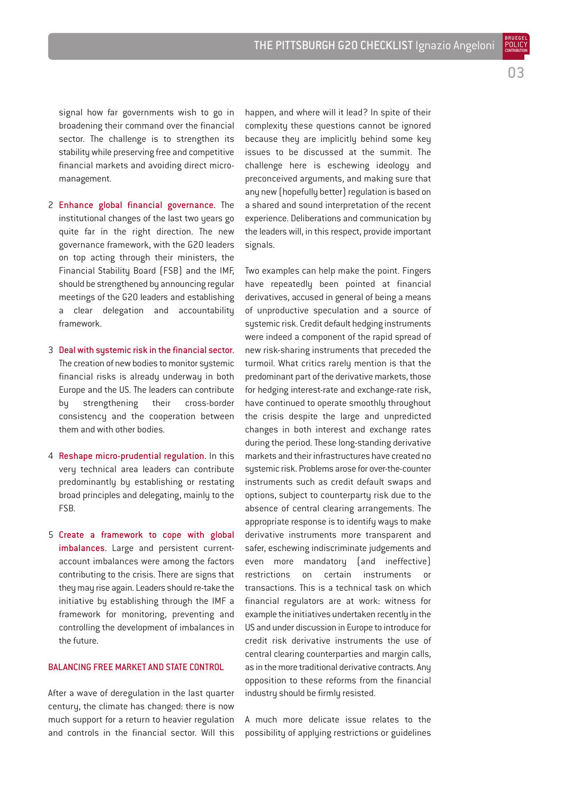BRUEGEL POLICY **CONTRIBUTION** 

signal how far governments wish to go in broadening their command over the financial sector. The challenge is to strengthen its stability while preserving free and competitive financial markets and avoiding direct micromanagement.

- 2 Enhance global financial governance. The institutional changes of the last two years go quite far in the right direction. The new governance framework, with the G20 leaders on top acting through their ministers, the Financial Stability Board (FSB) and the IMF, should be strengthened by announcing regular meetings of the G20 leaders and establishing a clear delegation and accountability framework.
- 3 Deal with systemic risk in the financial sector. The creation of new bodies to monitor systemic financial risks is already underway in both Europe and the US. The leaders can contribute by strengthening their cross-border consistency and the cooperation between them and with other bodies.
- 4 Reshape micro-prudential regulation. In this very technical area leaders can contribute predominantly by establishing or restating broad principles and delegating, mainly to the FSB.
- 5 Create a framework to cope with global imbalances. Large and persistent currentaccount imbalances were among the factors contributing to the crisis. There are signs that they may rise again. Leaders should re-take the initiative by establishing through the IMF a framework for monitoring, preventing and controlling the development of imbalances in the future.

#### BALANCING FREE MARKET AND STATE CONTROL

After a wave of deregulation in the last quarter century, the climate has changed: there is now much support for a return to heavier regulation and controls in the financial sector. Will this happen, and where will it lead? In spite of their complexity these questions cannot be ignored because they are implicitly behind some key issues to be discussed at the summit. The challenge here is eschewing ideology and preconceived arguments, and making sure that any new (hopefully better) regulation is based on a shared and sound interpretation of the recent experience. Deliberations and communication by the leaders will, in this respect, provide important signals.

Two examples can help make the point. Fingers have repeatedly been pointed at financial derivatives, accused in general of being a means of unproductive speculation and a source of systemic risk. Credit default hedging instruments were indeed a component of the rapid spread of new risk-sharing instruments that preceded the turmoil. What critics rarely mention is that the predominant part of the derivative markets, those for hedging interest-rate and exchange-rate risk, have continued to operate smoothly throughout the crisis despite the large and unpredicted changes in both interest and exchange rates during the period. These long-standing derivative markets and their infrastructures have created no systemic risk. Problems arose for over-the-counter instruments such as credit default swaps and options, subject to counterparty risk due to the absence of central clearing arrangements. The appropriate response is to identify ways to make derivative instruments more transparent and safer, eschewing indiscriminate judgements and even more mandatory (and ineffective) restrictions on certain instruments or transactions. This is a technical task on which financial regulators are at work: witness for example the initiatives undertaken recently in the US and under discussion in Europe to introduce for credit risk derivative instruments the use of central clearing counterparties and margin calls, as in the more traditional derivative contracts. Any opposition to these reforms from the financial industry should be firmly resisted.

A much more delicate issue relates to the possibility of applying restrictions or guidelines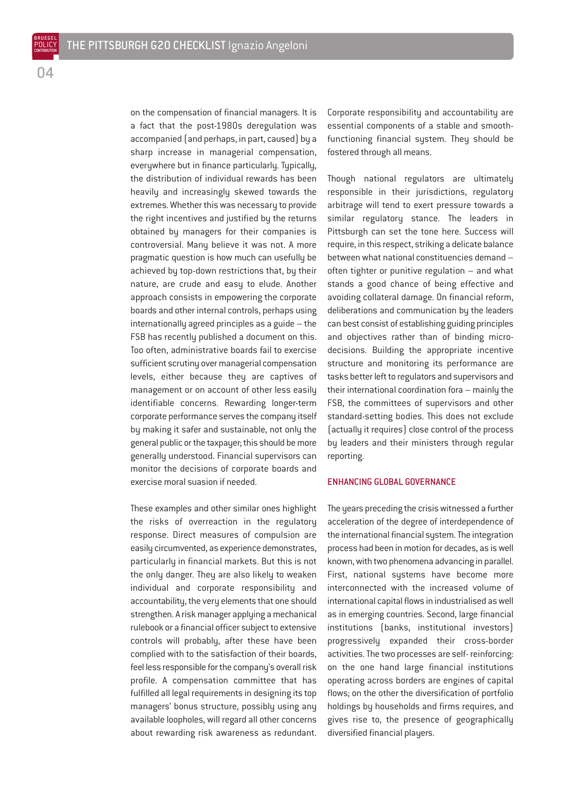on the compensation of financial managers. It is a fact that the post-1980s deregulation was accompanied (and perhaps, in part, caused) by a sharp increase in managerial compensation, everywhere but in finance particularly. Typically, the distribution of individual rewards has been heavily and increasingly skewed towards the extremes. Whether this was necessary to provide the right incentives and justified by the returns obtained by managers for their companies is controversial. Many believe it was not. A more pragmatic question is how much can usefully be achieved by top-down restrictions that, by their nature, are crude and easy to elude. Another approach consists in empowering the corporate boards and other internal controls, perhaps using internationally agreed principles as a guide – the FSB has recently published a document on this. Too often, administrative boards fail to exercise sufficient scrutiny over managerial compensation levels, either because they are captives of management or on account of other less easily identifiable concerns. Rewarding longer-term corporate performance serves the company itself by making it safer and sustainable, not only the general public or the taxpayer; this should be more generally understood. Financial supervisors can monitor the decisions of corporate boards and exercise moral suasion if needed.

These examples and other similar ones highlight the risks of overreaction in the regulatory response. Direct measures of compulsion are easily circumvented, as experience demonstrates, particularly in financial markets. But this is not the only danger. They are also likely to weaken individual and corporate responsibility and accountability, the very elements that one should strengthen. A risk manager applying a mechanical rulebook or a financial officer subject to extensive controls will probably, after these have been complied with to the satisfaction of their boards, feel less responsible for the company's overall risk profile. A compensation committee that has fulfilled all legal requirements in designing its top managers' bonus structure, possibly using any available loopholes, will regard all other concerns about rewarding risk awareness as redundant.

Corporate responsibility and accountability are essential components of a stable and smoothfunctioning financial system. They should be fostered through all means.

Though national regulators are ultimately responsible in their jurisdictions, regulatory arbitrage will tend to exert pressure towards a similar regulatory stance. The leaders in Pittsburgh can set the tone here. Success will require, in this respect, striking a delicate balance between what national constituencies demand – often tighter or punitive regulation – and what stands a good chance of being effective and avoiding collateral damage. On financial reform, deliberations and communication by the leaders can best consist of establishing guiding principles and objectives rather than of binding microdecisions. Building the appropriate incentive structure and monitoring its performance are tasks better left to regulators and supervisors and their international coordination fora – mainly the FSB, the committees of supervisors and other standard-setting bodies. This does not exclude (actually it requires) close control of the process by leaders and their ministers through regular reporting.

#### ENHANCING GLOBAL GOVERNANCE

The years preceding the crisis witnessed a further acceleration of the degree of interdependence of the international financial system. The integration process had been in motion for decades, as is well known, with two phenomena advancing in parallel. First, national systems have become more interconnected with the increased volume of international capital flows in industrialised as well as in emerging countries. Second, large financial institutions (banks, institutional investors) progressively expanded their cross-border activities. The two processes are self- reinforcing: on the one hand large financial institutions operating across borders are engines of capital flows; on the other the diversification of portfolio holdings by households and firms requires, and gives rise to, the presence of geographically diversified financial players.

 $\mathsf{n}\mathsf{\Lambda}$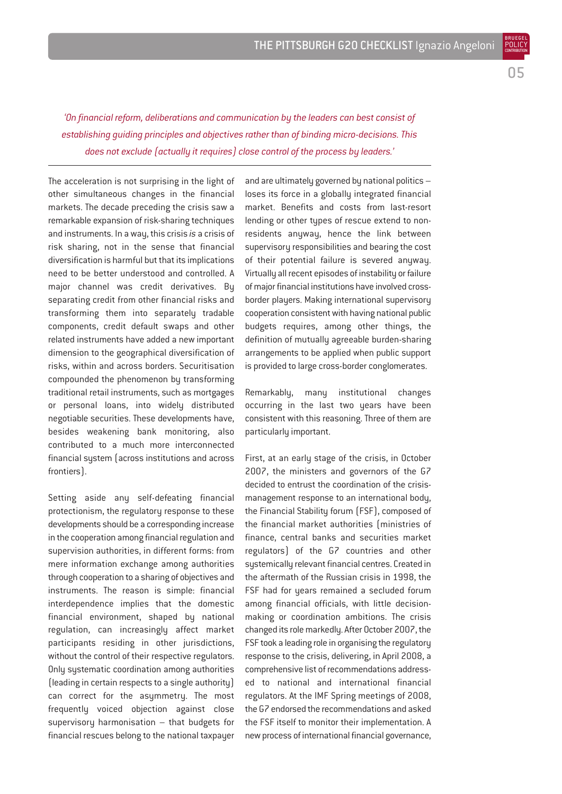05

BRUEGEL POLICY **CONTRIBUTION** 

*'On financial reform, deliberations and communication by the leaders can best consist of establishing guiding principles and objectives rather than of binding micro-decisions. This does not exclude (actually it requires) close control of the process by leaders.'*

The acceleration is not surprising in the light of other simultaneous changes in the financial markets. The decade preceding the crisis saw a remarkable expansion of risk-sharing techniques and instruments. In a way, this crisis *is* a crisis of risk sharing, not in the sense that financial diversification is harmful but that its implications need to be better understood and controlled. A major channel was credit derivatives. By separating credit from other financial risks and transforming them into separately tradable components, credit default swaps and other related instruments have added a new important dimension to the geographical diversification of risks, within and across borders. Securitisation compounded the phenomenon by transforming traditional retail instruments, such as mortgages or personal loans, into widely distributed negotiable securities. These developments have, besides weakening bank monitoring, also contributed to a much more interconnected financial system (across institutions and across frontiers).

Setting aside any self-defeating financial protectionism, the regulatory response to these developments should be a corresponding increase in the cooperation among financial regulation and supervision authorities, in different forms: from mere information exchange among authorities through cooperation to a sharing of objectives and instruments. The reason is simple: financial interdependence implies that the domestic financial environment, shaped by national regulation, can increasingly affect market participants residing in other jurisdictions, without the control of their respective regulators. Only systematic coordination among authorities (leading in certain respects to a single authority) can correct for the asymmetry. The most frequently voiced objection against close supervisory harmonisation – that budgets for financial rescues belong to the national taxpayer

and are ultimately governed by national politics – loses its force in a globally integrated financial market. Benefits and costs from last-resort lending or other types of rescue extend to nonresidents anyway, hence the link between supervisory responsibilities and bearing the cost of their potential failure is severed anyway. Virtually all recent episodes of instability or failure of major financial institutions have involved crossborder players. Making international supervisory cooperation consistent with having national public budgets requires, among other things, the definition of mutually agreeable burden-sharing arrangements to be applied when public support is provided to large cross-border conglomerates.

Remarkably, many institutional changes occurring in the last two years have been consistent with this reasoning. Three of them are particularly important.

First, at an early stage of the crisis, in October 2007, the ministers and governors of the G7 decided to entrust the coordination of the crisismanagement response to an international body, the Financial Stability forum (FSF), composed of the financial market authorities (ministries of finance, central banks and securities market regulators) of the G7 countries and other systemically relevant financial centres. Created in the aftermath of the Russian crisis in 1998, the FSF had for years remained a secluded forum among financial officials, with little decisionmaking or coordination ambitions. The crisis changed its role markedly. After October 2007, the FSF took a leading role in organising the regulatory response to the crisis, delivering, in April 2008, a comprehensive list of recommendations addressed to national and international financial regulators. At the IMF Spring meetings of 2008, the G7 endorsed the recommendations and asked the FSF itself to monitor their implementation. A new process of international financial governance,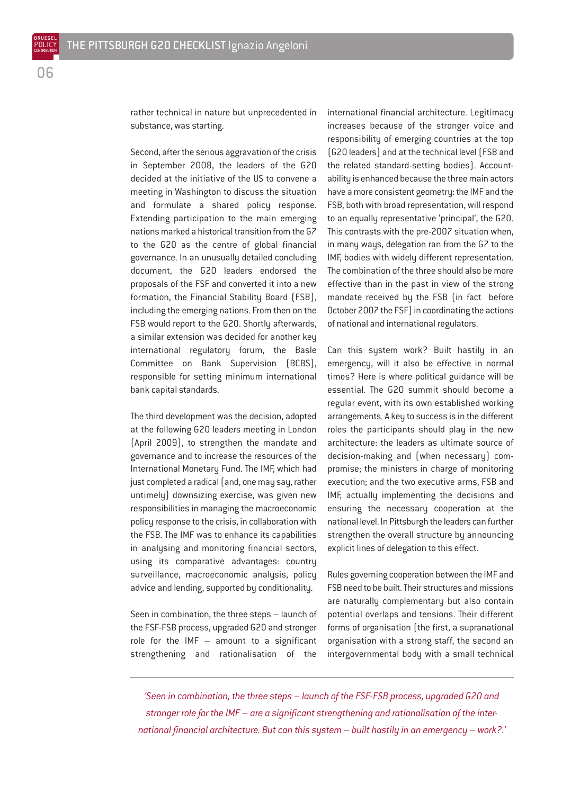rather technical in nature but unprecedented in substance, was starting.

Second, after the serious aggravation of the crisis in September 2008, the leaders of the G20 decided at the initiative of the US to convene a meeting in Washington to discuss the situation and formulate a shared policy response. Extending participation to the main emerging nations marked a historical transition from the G7 to the G20 as the centre of global financial governance. In an unusually detailed concluding document, the G20 leaders endorsed the proposals of the FSF and converted it into a new formation, the Financial Stability Board (FSB), including the emerging nations. From then on the FSB would report to the G20. Shortly afterwards, a similar extension was decided for another key international regulatory forum, the Basle Committee on Bank Supervision (BCBS), responsible for setting minimum international bank capital standards.

The third development was the decision, adopted at the following G20 leaders meeting in London (April 2009), to strengthen the mandate and governance and to increase the resources of the International Monetary Fund. The IMF, which had just completed a radical (and, one may say, rather untimely) downsizing exercise, was given new responsibilities in managing the macroeconomic policy response to the crisis, in collaboration with the FSB. The IMF was to enhance its capabilities in analysing and monitoring financial sectors, using its comparative advantages: country surveillance, macroeconomic analysis, policy advice and lending, supported by conditionality.

Seen in combination, the three steps – launch of the FSF-FSB process, upgraded G20 and stronger role for the IMF – amount to a significant strengthening and rationalisation of the

international financial architecture. Legitimacy increases because of the stronger voice and responsibility of emerging countries at the top (G20 leaders) and at the technical level (FSB and the related standard-setting bodies). Accountability is enhanced because the three main actors have a more consistent geometry: the IMF and the FSB, both with broad representation, will respond to an equally representative 'principal', the G20. This contrasts with the pre-2007 situation when, in many ways, delegation ran from the G7 to the IMF, bodies with widely different representation. The combination of the three should also be more effective than in the past in view of the strong mandate received by the FSB (in fact before October 2007 the FSF) in coordinating the actions of national and international regulators.

Can this system work? Built hastily in an emergency, will it also be effective in normal times? Here is where political guidance will be essential. The G20 summit should become a regular event, with its own established working arrangements. A key to success is in the different roles the participants should play in the new architecture: the leaders as ultimate source of decision-making and (when necessary) compromise; the ministers in charge of monitoring execution; and the two executive arms, FSB and IMF, actually implementing the decisions and ensuring the necessary cooperation at the national level. In Pittsburgh the leaders can further strengthen the overall structure by announcing explicit lines of delegation to this effect.

Rules governing cooperation between the IMF and FSB need to be built. Their structures and missions are naturally complementary but also contain potential overlaps and tensions. Their different forms of organisation (the first, a supranational organisation with a strong staff, the second an intergovernmental body with a small technical

*'Seen in combination, the three steps – launch of the FSF-FSB process, upgraded G20 and stronger role for the IMF – are a significant strengthening and rationalisation of the international financial architecture. But can this system – built hastily in an emergency – work?.'*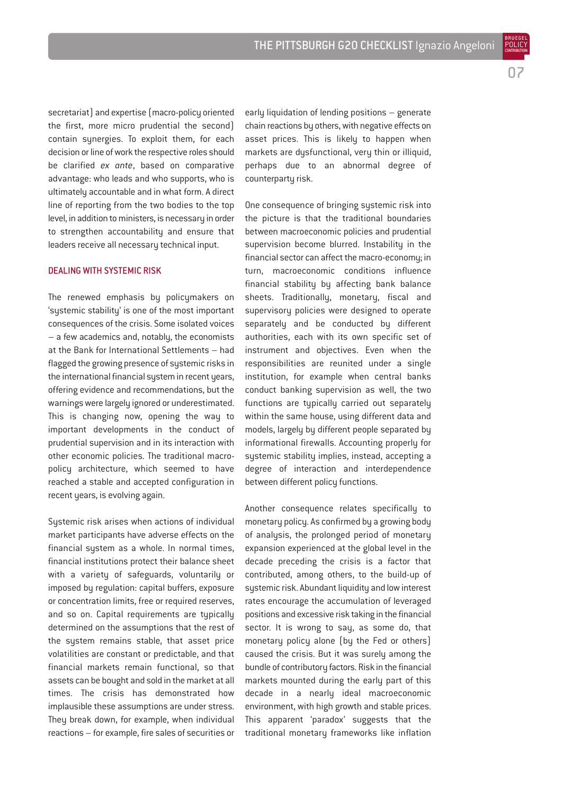BRUEGEL POLICY **CONTRIBUTION** 

secretariat) and expertise (macro-policy oriented the first, more micro prudential the second) contain synergies. To exploit them, for each decision or line of work the respective roles should be clarified *ex ante*, based on comparative advantage: who leads and who supports, who is ultimately accountable and in what form. A direct line of reporting from the two bodies to the top level, in addition to ministers, is necessary in order to strengthen accountability and ensure that leaders receive all necessary technical input.

#### DEALING WITH SYSTEMIC RISK

The renewed emphasis by policymakers on 'systemic stability' is one of the most important consequences of the crisis. Some isolated voices – a few academics and, notably, the economists at the Bank for International Settlements – had flagged the growing presence of systemic risks in the international financial system in recent years, offering evidence and recommendations, but the warnings were largely ignored or underestimated. This is changing now, opening the way to important developments in the conduct of prudential supervision and in its interaction with other economic policies. The traditional macropolicy architecture, which seemed to have reached a stable and accepted configuration in recent years, is evolving again.

Sustemic risk arises when actions of individual market participants have adverse effects on the financial system as a whole. In normal times, financial institutions protect their balance sheet with a variety of safeguards, voluntarily or imposed by regulation: capital buffers, exposure or concentration limits, free or required reserves, and so on. Capital requirements are typically determined on the assumptions that the rest of the system remains stable, that asset price volatilities are constant or predictable, and that financial markets remain functional, so that assets can be bought and sold in the market at all times. The crisis has demonstrated how implausible these assumptions are under stress. They break down, for example, when individual reactions – for example, fire sales of securities or early liquidation of lending positions – generate chain reactions by others, with negative effects on asset prices. This is likely to happen when markets are dysfunctional, very thin or illiquid, perhaps due to an abnormal degree of counterparty risk.

One consequence of bringing systemic risk into the picture is that the traditional boundaries between macroeconomic policies and prudential supervision become blurred. Instability in the financial sector can affect the macro-economy; in turn, macroeconomic conditions influence financial stability by affecting bank balance sheets. Traditionally, monetary, fiscal and supervisory policies were designed to operate separately and be conducted by different authorities, each with its own specific set of instrument and objectives. Even when the responsibilities are reunited under a single institution, for example when central banks conduct banking supervision as well, the two functions are typically carried out separately within the same house, using different data and models, largely by different people separated by informational firewalls. Accounting properly for systemic stability implies, instead, accepting a degree of interaction and interdependence between different policy functions.

Another consequence relates specifically to monetary policy. As confirmed by a growing body of analysis, the prolonged period of monetary expansion experienced at the global level in the decade preceding the crisis is a factor that contributed, among others, to the build-up of systemic risk. Abundant liquidity and low interest rates encourage the accumulation of leveraged positions and excessive risk taking in the financial sector. It is wrong to say, as some do, that monetary policy alone (by the Fed or others) caused the crisis. But it was surely among the bundle of contributory factors. Risk in the financial markets mounted during the early part of this decade in a nearly ideal macroeconomic environment, with high growth and stable prices. This apparent 'paradox' suggests that the traditional monetary frameworks like inflation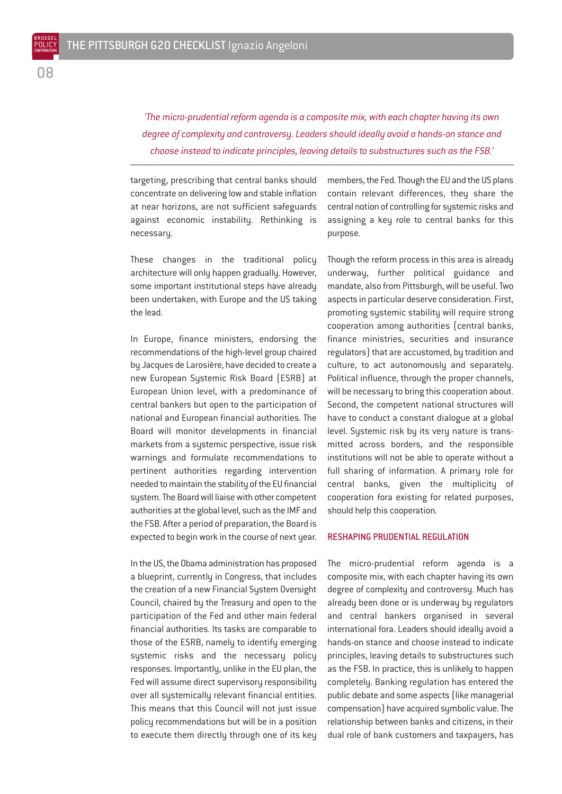*'The micro-prudential reform agenda is a composite mix, with each chapter having its own degree of complexity and controversy. Leaders should ideally avoid a hands-on stance and choose instead to indicate principles, leaving details to substructures such as the FSB.'*

targeting, prescribing that central banks should concentrate on delivering low and stable inflation at near horizons, are not sufficient safeguards against economic instability. Rethinking is necessary.

These changes in the traditional policy architecture will only happen gradually. However, some important institutional steps have already been undertaken, with Europe and the US taking the lead.

In Europe, finance ministers, endorsing the recommendations of the high-level group chaired by Jacques de Larosière, have decided to create a new European Systemic Risk Board (ESRB) at European Union level, with a predominance of central bankers but open to the participation of national and European financial authorities. The Board will monitor developments in financial markets from a systemic perspective, issue risk warnings and formulate recommendations to pertinent authorities regarding intervention needed to maintain the stability of the EU financial system. The Board will liaise with other competent authorities at the global level, such as the IMF and the FSB. After a period of preparation, the Board is expected to begin work in the course of next year.

In the US, the Obama administration has proposed a blueprint, currently in Congress, that includes the creation of a new Financial System Oversight Council, chaired by the Treasury and open to the participation of the Fed and other main federal financial authorities. Its tasks are comparable to those of the ESRB, namely to identify emerging systemic risks and the necessary policy responses. Importantly, unlike in the EU plan, the Fed will assume direct supervisory responsibility over all systemically relevant financial entities. This means that this Council will not just issue policy recommendations but will be in a position to execute them directly through one of its key

members, the Fed. Though the EU and the US plans contain relevant differences, they share the central notion of controlling for systemic risks and assigning a key role to central banks for this purpose.

Though the reform process in this area is already underway, further political guidance and mandate, also from Pittsburgh, will be useful. Two aspects in particular deserve consideration. First, promoting systemic stability will require strong cooperation among authorities (central banks, finance ministries, securities and insurance regulators) that are accustomed, by tradition and culture, to act autonomously and separately. Political influence, through the proper channels, will be necessary to bring this cooperation about. Second, the competent national structures will have to conduct a constant dialogue at a global level. Systemic risk by its very nature is transmitted across borders, and the responsible institutions will not be able to operate without a full sharing of information. A primary role for central banks, given the multiplicity of cooperation fora existing for related purposes, should help this cooperation.

#### RESHAPING PRUDENTIAL REGULATION

The micro-prudential reform agenda is a composite mix, with each chapter having its own degree of complexity and controversy. Much has already been done or is underway by regulators and central bankers organised in several international fora. Leaders should ideally avoid a hands-on stance and choose instead to indicate principles, leaving details to substructures such as the FSB. In practice, this is unlikely to happen completely. Banking regulation has entered the public debate and some aspects (like managerial compensation) have acquired symbolic value. The relationship between banks and citizens, in their dual role of bank customers and taxpayers, has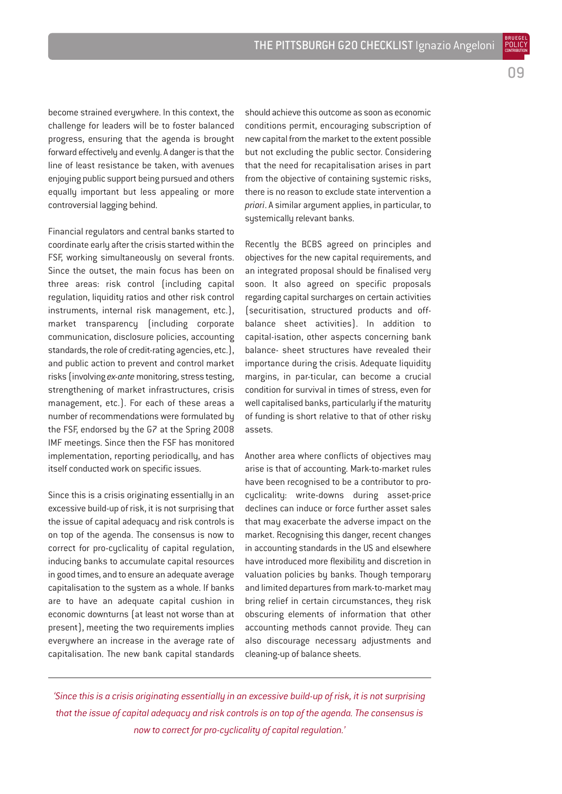become strained everywhere. In this context, the challenge for leaders will be to foster balanced progress, ensuring that the agenda is brought forward effectively and evenly. A danger is that the line of least resistance be taken, with avenues enjoying public support being pursued and others equally important but less appealing or more controversial lagging behind.

Financial regulators and central banks started to coordinate early after the crisis started within the FSF, working simultaneously on several fronts. Since the outset, the main focus has been on three areas: risk control (including capital regulation, liquidity ratios and other risk control instruments, internal risk management, etc.), market transparency (including corporate communication, disclosure policies, accounting standards, the role of credit-rating agencies, etc.), and public action to prevent and control market risks (involving *ex-ante*monitoring, stress testing, strengthening of market infrastructures, crisis management, etc.). For each of these areas a number of recommendations were formulated by the FSF, endorsed by the G7 at the Spring 2008 IMF meetings. Since then the FSF has monitored implementation, reporting periodically, and has itself conducted work on specific issues.

Since this is a crisis originating essentially in an excessive build-up of risk, it is not surprising that the issue of capital adequacy and risk controls is on top of the agenda. The consensus is now to correct for pro-cyclicality of capital regulation, inducing banks to accumulate capital resources in good times, and to ensure an adequate average capitalisation to the system as a whole. If banks are to have an adequate capital cushion in economic downturns (at least not worse than at present), meeting the two requirements implies everywhere an increase in the average rate of capitalisation. The new bank capital standards

should achieve this outcome as soon as economic conditions permit, encouraging subscription of new capital from the market to the extent possible but not excluding the public sector. Considering that the need for recapitalisation arises in part from the objective of containing systemic risks, there is no reason to exclude state intervention a *priori*. A similar argument applies, in particular, to systemically relevant banks.

Recently the BCBS agreed on principles and objectives for the new capital requirements, and an integrated proposal should be finalised very soon. It also agreed on specific proposals regarding capital surcharges on certain activities (securitisation, structured products and offbalance sheet activities). In addition to capital-isation, other aspects concerning bank balance- sheet structures have revealed their importance during the crisis. Adequate liquidity margins, in par-ticular, can become a crucial condition for survival in times of stress, even for well capitalised banks, particularly if the maturity of funding is short relative to that of other risky assets.

Another area where conflicts of objectives may arise is that of accounting. Mark-to-market rules have been recognised to be a contributor to procyclicality: write-downs during asset-price declines can induce or force further asset sales that may exacerbate the adverse impact on the market. Recognising this danger, recent changes in accounting standards in the US and elsewhere have introduced more flexibility and discretion in valuation policies by banks. Though temporary and limited departures from mark-to-market may bring relief in certain circumstances, they risk obscuring elements of information that other accounting methods cannot provide. They can also discourage necessary adjustments and cleaning-up of balance sheets.

*'Since this is a crisis originating essentially in an excessive build-up of risk, it is not surprising that the issue of capital adequacy and risk controls is on top of the agenda. The consensus is now to correct for pro-cyclicality of capital regulation.'*

09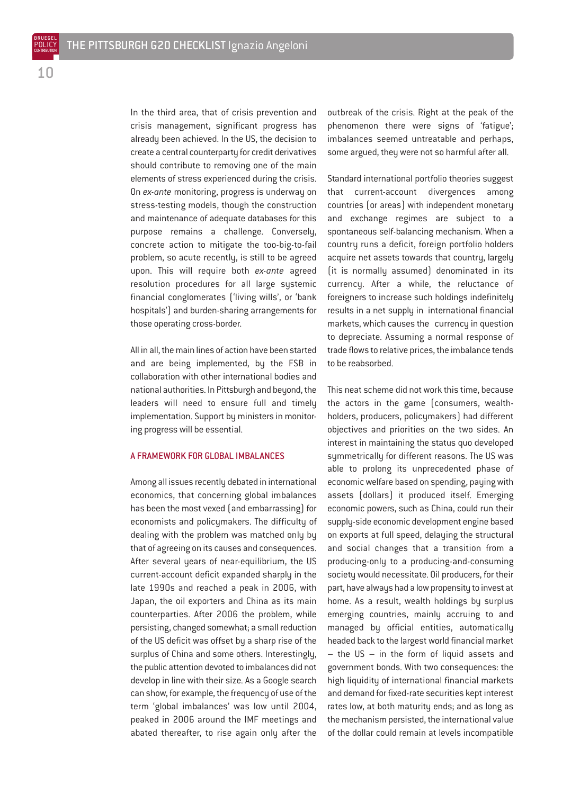In the third area, that of crisis prevention and crisis management, significant progress has already been achieved. In the US, the decision to create a central counterparty for credit derivatives should contribute to removing one of the main elements of stress experienced during the crisis. On *ex-ante* monitoring, progress is underway on stress-testing models, though the construction and maintenance of adequate databases for this purpose remains a challenge. Conversely, concrete action to mitigate the too-big-to-fail problem, so acute recently, is still to be agreed upon. This will require both *ex-ante* agreed resolution procedures for all large systemic financial conglomerates ('living wills', or 'bank hospitals') and burden-sharing arrangements for those operating cross-border.

All in all, the main lines of action have been started and are being implemented, by the FSB in collaboration with other international bodies and national authorities. In Pittsburgh and beyond, the leaders will need to ensure full and timely implementation. Support by ministers in monitoring progress will be essential.

#### A FRAMEWORK FOR GLOBAL IMBALANCES

Among all issues recently debated in international economics, that concerning global imbalances has been the most vexed (and embarrassing) for economists and policymakers. The difficulty of dealing with the problem was matched only by that of agreeing on its causes and consequences. After several years of near-equilibrium, the US current-account deficit expanded sharply in the late 1990s and reached a peak in 2006, with Japan, the oil exporters and China as its main counterparties. After 2006 the problem, while persisting, changed somewhat; a small reduction of the US deficit was offset by a sharp rise of the surplus of China and some others. Interestingly, the public attention devoted to imbalances did not develop in line with their size. As a Google search can show, for example, the frequency of use of the term 'global imbalances' was low until 2004, peaked in 2006 around the IMF meetings and abated thereafter, to rise again only after the outbreak of the crisis. Right at the peak of the phenomenon there were signs of 'fatigue'; imbalances seemed untreatable and perhaps, some argued, they were not so harmful after all.

Standard international portfolio theories suggest that current-account divergences among countries (or areas) with independent monetary and exchange regimes are subject to a spontaneous self-balancing mechanism. When a country runs a deficit, foreign portfolio holders acquire net assets towards that country, largely (it is normally assumed) denominated in its currency. After a while, the reluctance of foreigners to increase such holdings indefinitely results in a net supply in international financial markets, which causes the currency in question to depreciate. Assuming a normal response of trade flows to relative prices, the imbalance tends to be reabsorbed.

This neat scheme did not work this time, because the actors in the game (consumers, wealthholders, producers, policymakers) had different objectives and priorities on the two sides. An interest in maintaining the status quo developed symmetrically for different reasons. The US was able to prolong its unprecedented phase of economic welfare based on spending, paying with assets (dollars) it produced itself. Emerging economic powers, such as China, could run their supply-side economic development engine based on exports at full speed, delaying the structural and social changes that a transition from a producing-only to a producing-and-consuming society would necessitate. Oil producers, for their part, have always had a low propensity to invest at home. As a result, wealth holdings by surplus emerging countries, mainly accruing to and managed by official entities, automatically headed back to the largest world financial market – the US – in the form of liquid assets and government bonds. With two consequences: the high liquidity of international financial markets and demand for fixed-rate securities kept interest rates low, at both maturity ends; and as long as the mechanism persisted, the international value of the dollar could remain at levels incompatible